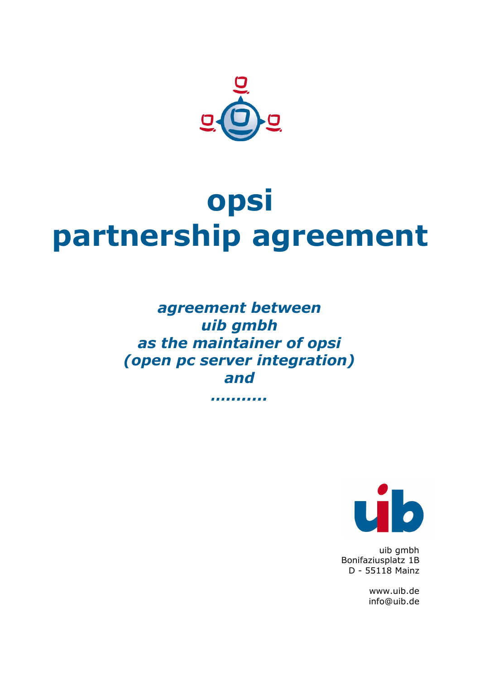

# **opsi partnership agreement**

*agreement between uib gmbh as the maintainer of opsi (open pc server integration) and*

*…........*



uib gmbh Bonifaziusplatz 1B D - 55118 Mainz

> www.uib.de info@uib.de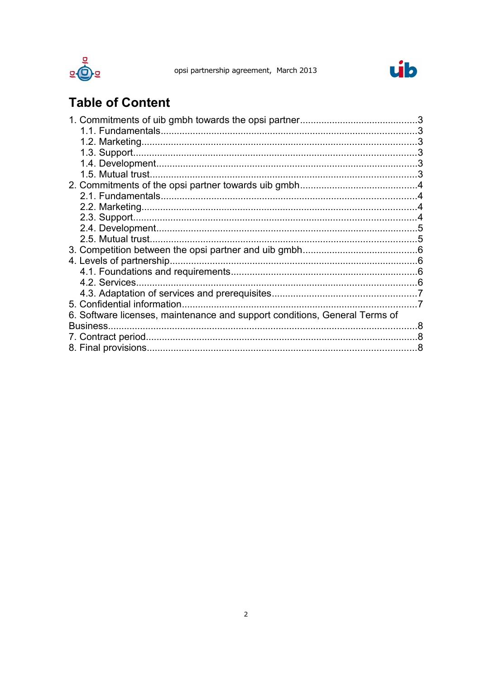



## **Table of Content**

| 1.5. Mutual trust.                                                         |   |
|----------------------------------------------------------------------------|---|
|                                                                            |   |
|                                                                            |   |
|                                                                            |   |
|                                                                            |   |
|                                                                            |   |
| 2.5. Mutual trust.                                                         |   |
|                                                                            |   |
| 4. Levels of partnership.                                                  |   |
|                                                                            |   |
|                                                                            |   |
|                                                                            |   |
| 5. Confidential information.                                               |   |
| 6. Software licenses, maintenance and support conditions, General Terms of |   |
| Business.                                                                  | 8 |
|                                                                            | 8 |
|                                                                            |   |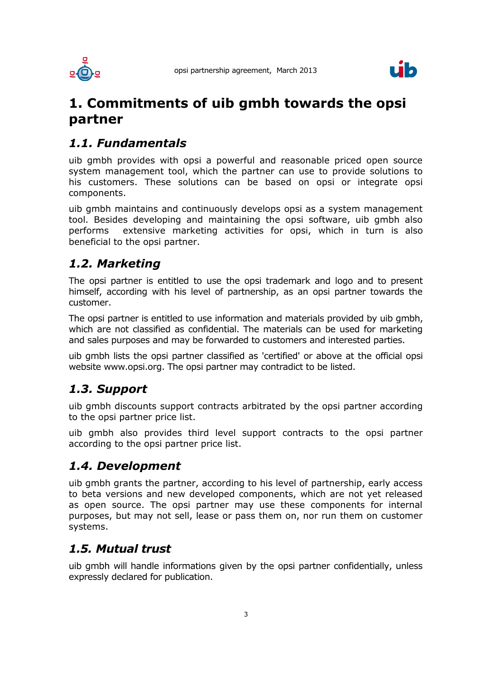



## **1. Commitments of uib gmbh towards the opsi partner**

#### *1.1. Fundamentals*

uib gmbh provides with opsi a powerful and reasonable priced open source system management tool, which the partner can use to provide solutions to his customers. These solutions can be based on opsi or integrate opsi components.

uib gmbh maintains and continuously develops opsi as a system management tool. Besides developing and maintaining the opsi software, uib gmbh also performs extensive marketing activities for opsi, which in turn is also beneficial to the opsi partner.

#### *1.2. Marketing*

The opsi partner is entitled to use the opsi trademark and logo and to present himself, according with his level of partnership, as an opsi partner towards the customer.

The opsi partner is entitled to use information and materials provided by uib gmbh, which are not classified as confidential. The materials can be used for marketing and sales purposes and may be forwarded to customers and interested parties.

uib gmbh lists the opsi partner classified as 'certified' or above at the official opsi website www.opsi.org. The opsi partner may contradict to be listed.

#### *1.3. Support*

uib gmbh discounts support contracts arbitrated by the opsi partner according to the opsi partner price list.

uib gmbh also provides third level support contracts to the opsi partner according to the opsi partner price list.

#### *1.4. Development*

uib gmbh grants the partner, according to his level of partnership, early access to beta versions and new developed components, which are not yet released as open source. The opsi partner may use these components for internal purposes, but may not sell, lease or pass them on, nor run them on customer systems.

#### *1.5. Mutual trust*

uib gmbh will handle informations given by the opsi partner confidentially, unless expressly declared for publication.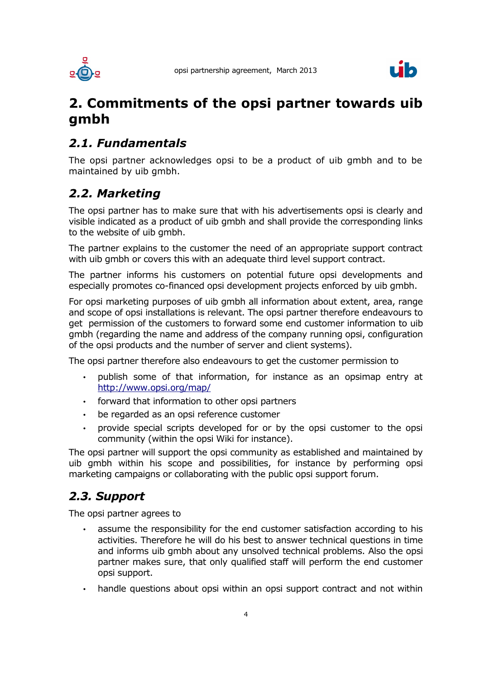



## **2. Commitments of the opsi partner towards uib gmbh**

#### *2.1. Fundamentals*

The opsi partner acknowledges opsi to be a product of uib gmbh and to be maintained by uib gmbh.

#### *2.2. Marketing*

The opsi partner has to make sure that with his advertisements opsi is clearly and visible indicated as a product of uib gmbh and shall provide the corresponding links to the website of uib gmbh.

The partner explains to the customer the need of an appropriate support contract with uib gmbh or covers this with an adequate third level support contract.

The partner informs his customers on potential future opsi developments and especially promotes co-financed opsi development projects enforced by uib gmbh.

For opsi marketing purposes of uib gmbh all information about extent, area, range and scope of opsi installations is relevant. The opsi partner therefore endeavours to get permission of the customers to forward some end customer information to uib gmbh (regarding the name and address of the company running opsi, configuration of the opsi products and the number of server and client systems).

The opsi partner therefore also endeavours to get the customer permission to

- publish some of that information, for instance as an opsimap entry at <http://www.opsi.org/map/>
- forward that information to other opsi partners
- be regarded as an opsi reference customer
- provide special scripts developed for or by the opsi customer to the opsi community (within the opsi Wiki for instance).

The opsi partner will support the opsi community as established and maintained by uib gmbh within his scope and possibilities, for instance by performing opsi marketing campaigns or collaborating with the public opsi support forum.

### *2.3. Support*

The opsi partner agrees to

- assume the responsibility for the end customer satisfaction according to his activities. Therefore he will do his best to answer technical questions in time and informs uib gmbh about any unsolved technical problems. Also the opsi partner makes sure, that only qualified staff will perform the end customer opsi support.
- handle questions about opsi within an opsi support contract and not within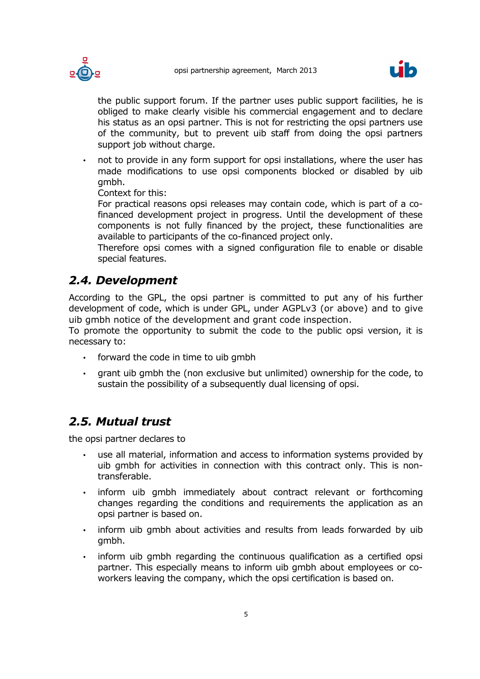





the public support forum. If the partner uses public support facilities, he is obliged to make clearly visible his commercial engagement and to declare his status as an opsi partner. This is not for restricting the opsi partners use of the community, but to prevent uib staff from doing the opsi partners support job without charge.

• not to provide in any form support for opsi installations, where the user has made modifications to use opsi components blocked or disabled by uib gmbh.

Context for this:

For practical reasons opsi releases may contain code, which is part of a cofinanced development project in progress. Until the development of these components is not fully financed by the project, these functionalities are available to participants of the co-financed project only.

Therefore opsi comes with a signed configuration file to enable or disable special features.

#### *2.4. Development*

According to the GPL, the opsi partner is committed to put any of his further development of code, which is under GPL, under AGPLv3 (or above) and to give uib gmbh notice of the development and grant code inspection.

To promote the opportunity to submit the code to the public opsi version, it is necessary to:

- forward the code in time to uib gmbh
- grant uib gmbh the (non exclusive but unlimited) ownership for the code, to sustain the possibility of a subsequently dual licensing of opsi.

#### *2.5. Mutual trust*

the opsi partner declares to

- use all material, information and access to information systems provided by uib gmbh for activities in connection with this contract only. This is nontransferable.
- inform uib gmbh immediately about contract relevant or forthcoming changes regarding the conditions and requirements the application as an opsi partner is based on.
- inform uib gmbh about activities and results from leads forwarded by uib gmbh.
- inform uib gmbh regarding the continuous qualification as a certified opsi partner. This especially means to inform uib gmbh about employees or coworkers leaving the company, which the opsi certification is based on.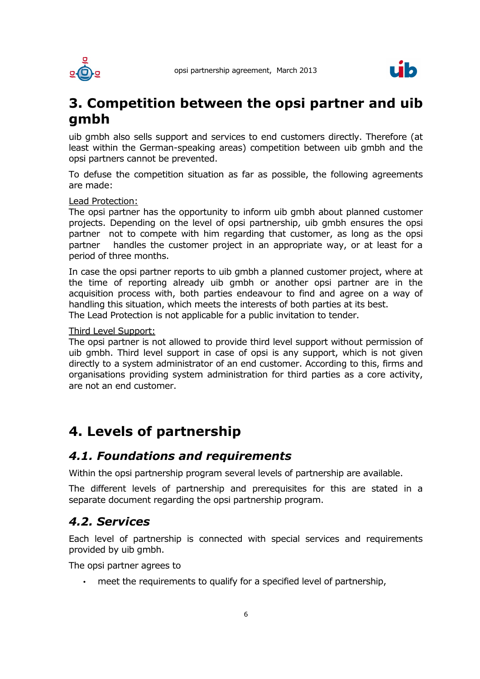



## **3. Competition between the opsi partner and uib gmbh**

uib gmbh also sells support and services to end customers directly. Therefore (at least within the German-speaking areas) competition between uib gmbh and the opsi partners cannot be prevented.

To defuse the competition situation as far as possible, the following agreements are made:

#### Lead Protection:

The opsi partner has the opportunity to inform uib gmbh about planned customer projects. Depending on the level of opsi partnership, uib gmbh ensures the opsi partner not to compete with him regarding that customer, as long as the opsi partner handles the customer project in an appropriate way, or at least for a period of three months.

In case the opsi partner reports to uib gmbh a planned customer project, where at the time of reporting already uib gmbh or another opsi partner are in the acquisition process with, both parties endeavour to find and agree on a way of handling this situation, which meets the interests of both parties at its best.

The Lead Protection is not applicable for a public invitation to tender.

#### Third Level Support:

The opsi partner is not allowed to provide third level support without permission of uib gmbh. Third level support in case of opsi is any support, which is not given directly to a system administrator of an end customer. According to this, firms and organisations providing system administration for third parties as a core activity, are not an end customer.

## **4. Levels of partnership**

#### *4.1. Foundations and requirements*

Within the opsi partnership program several levels of partnership are available.

The different levels of partnership and prerequisites for this are stated in a separate document regarding the opsi partnership program.

#### *4.2. Services*

Each level of partnership is connected with special services and requirements provided by uib gmbh.

The opsi partner agrees to

• meet the requirements to qualify for a specified level of partnership,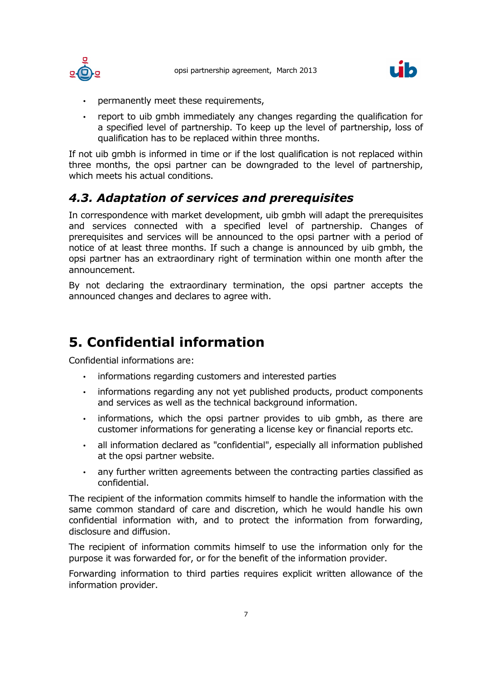



- permanently meet these requirements,
- report to uib gmbh immediately any changes regarding the qualification for a specified level of partnership. To keep up the level of partnership, loss of qualification has to be replaced within three months.

If not uib gmbh is informed in time or if the lost qualification is not replaced within three months, the opsi partner can be downgraded to the level of partnership, which meets his actual conditions.

### *4.3. Adaptation of services and prerequisites*

In correspondence with market development, uib gmbh will adapt the prerequisites and services connected with a specified level of partnership. Changes of prerequisites and services will be announced to the opsi partner with a period of notice of at least three months. If such a change is announced by uib gmbh, the opsi partner has an extraordinary right of termination within one month after the announcement.

By not declaring the extraordinary termination, the opsi partner accepts the announced changes and declares to agree with.

# **5. Confidential information**

Confidential informations are:

- informations regarding customers and interested parties
- informations regarding any not yet published products, product components and services as well as the technical background information.
- informations, which the opsi partner provides to uib gmbh, as there are customer informations for generating a license key or financial reports etc.
- all information declared as "confidential", especially all information published at the opsi partner website.
- any further written agreements between the contracting parties classified as confidential.

The recipient of the information commits himself to handle the information with the same common standard of care and discretion, which he would handle his own confidential information with, and to protect the information from forwarding, disclosure and diffusion.

The recipient of information commits himself to use the information only for the purpose it was forwarded for, or for the benefit of the information provider.

Forwarding information to third parties requires explicit written allowance of the information provider.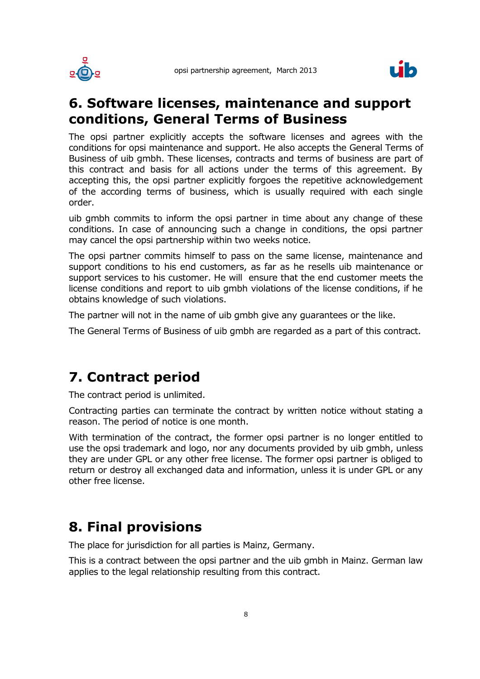



## **6. Software licenses, maintenance and support conditions, General Terms of Business**

The opsi partner explicitly accepts the software licenses and agrees with the conditions for opsi maintenance and support. He also accepts the General Terms of Business of uib gmbh. These licenses, contracts and terms of business are part of this contract and basis for all actions under the terms of this agreement. By accepting this, the opsi partner explicitly forgoes the repetitive acknowledgement of the according terms of business, which is usually required with each single order.

uib gmbh commits to inform the opsi partner in time about any change of these conditions. In case of announcing such a change in conditions, the opsi partner may cancel the opsi partnership within two weeks notice.

The opsi partner commits himself to pass on the same license, maintenance and support conditions to his end customers, as far as he resells uib maintenance or support services to his customer. He will ensure that the end customer meets the license conditions and report to uib gmbh violations of the license conditions, if he obtains knowledge of such violations.

The partner will not in the name of uib gmbh give any guarantees or the like.

The General Terms of Business of uib gmbh are regarded as a part of this contract.

## **7. Contract period**

The contract period is unlimited.

Contracting parties can terminate the contract by written notice without stating a reason. The period of notice is one month.

With termination of the contract, the former opsi partner is no longer entitled to use the opsi trademark and logo, nor any documents provided by uib gmbh, unless they are under GPL or any other free license. The former opsi partner is obliged to return or destroy all exchanged data and information, unless it is under GPL or any other free license.

## **8. Final provisions**

The place for jurisdiction for all parties is Mainz, Germany.

This is a contract between the opsi partner and the uib gmbh in Mainz. German law applies to the legal relationship resulting from this contract.